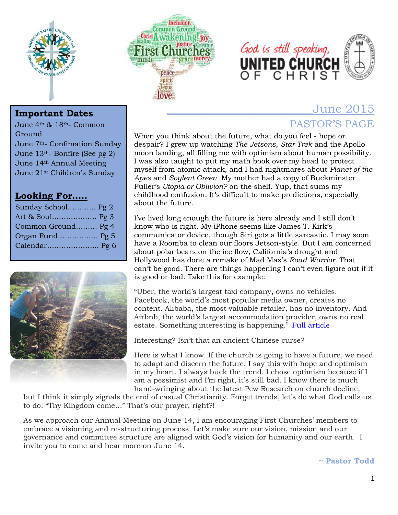





# \_\_\_\_\_\_\_\_\_\_\_\_\_\_\_\_\_\_\_\_\_\_\_\_\_June 2015 PASTOR'S PAGE

When you think about the future, what do you feel - hope or despair? I grew up watching *The Jetsons*, *Star Trek* and the Apollo moon landing, all filling me with optimism about human possibility. I was also taught to put my math book over my head to protect myself from atomic attack, and I had nightmares about *Planet of the Apes* and *Soylent Green.* My mother had a copy of Buckminster Fuller's *Utopia or Oblivion?* on the shelf. Yup, that sums my childhood confusion. It's difficult to make predictions, especially about the future.

I've lived long enough the future is here already and I still don't know who is right. My iPhone seems like James T. Kirk's communicator device, though Siri gets a little sarcastic. I may soon have a Roomba to clean our floors Jetson-style. But I am concerned about polar bears on the ice flow, California's drought and Hollywood has done a remake of Mad Max's *Road Warrior*. That can't be good. There are things happening I can't even figure out if it is good or bad. Take this for example:

"Uber, the world's largest taxi company, owns no vehicles. Facebook, the world's most popular media owner, creates no content. Alibaba, the most valuable retailer, has no inventory. And Airbnb, the world's largest accommodation provider, owns no real estate. Something interesting is happening." [Full article](http://www.nytimes.com/2015/05/20/opinion/thomas-friedman-hillary-jeb-facebook-and-disorder.html?_r=0)

Interesting? Isn't that an ancient Chinese curse?

Here is what I know. If the church is going to have a future, we need to adapt and discern the future. I say this with hope and optimism in my heart. I always buck the trend. I chose optimism because if I am a pessimist and I'm right, it's still bad. I know there is much hand-wringing about the latest Pew Research on church decline,

but I think it simply signals the end of casual Christianity. Forget trends, let's do what God calls us to do. "Thy Kingdom come…" That's our prayer, right?!

As we approach our Annual Meeting on June 14, I am encouraging First Churches' members to embrace a visioning and re-structuring process. Let's make sure our vision, mission and our governance and committee structure are aligned with God's vision for humanity and our earth. I invite you to come and hear more on June 14.

**~ Pastor Todd**

### **Important Dates**

June 4th & 18th- Common Ground June 7th- Confimation Sunday June 13th- Bonfire (See pg 2) June 14th Annual Meeting June 21st Children's Sunday

### **Looking For…..**

| Sunday School Pg 2 |  |
|--------------------|--|
|                    |  |
| Common Ground Pg 4 |  |
| Organ Fund Pg 5    |  |
|                    |  |
|                    |  |

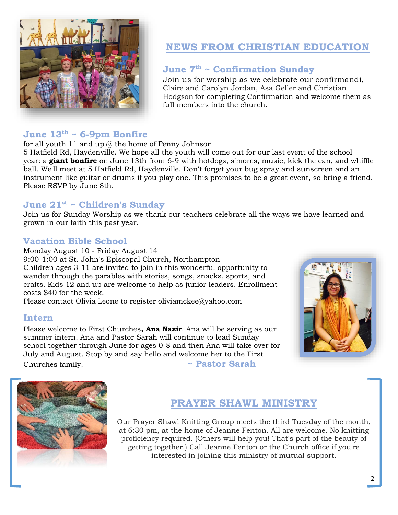

## **NEWS FROM CHRISTIAN EDUCATION**

### **June 7th ~ Confirmation Sunday**

Join us for worship as we celebrate our confirmandi, Claire and Carolyn Jordan, Asa Geller and Christian Hodgson for completing Confirmation and welcome them as full members into the church.

### **June 13th ~ 6-9pm Bonfire**

for all youth 11 and up  $\omega$  the home of Penny Johnson

5 Hatfield Rd, Haydenville. We hope all the youth will come out for our last event of the school year: a **giant bonfire** on June 13th from 6-9 with hotdogs, s'mores, music, kick the can, and whiffle ball. We'll meet at 5 Hatfield Rd, Haydenville. Don't forget your bug spray and sunscreen and an instrument like guitar or drums if you play one. This promises to be a great event, so bring a friend. Please RSVP by June 8th.

#### **June 21st ~ Children's Sunday**

Join us for Sunday Worship as we thank our teachers celebrate all the ways we have learned and grown in our faith this past year.

### **Vacation Bible School**

Monday August 10 - Friday August 14 9:00-1:00 at St. John's Episcopal Church, Northampton Children ages 3-11 are invited to join in this wonderful opportunity to wander through the parables with stories, songs, snacks, sports, and crafts. Kids 12 and up are welcome to help as junior leaders. Enrollment costs \$40 for the week.

Please contact Olivia Leone to register [oliviamckee@yahoo.com](mailto:oliviamckee@yahoo.com)

#### **Intern**

Please welcome to First Churches**, Ana Nazir**. Ana will be serving as our summer intern. Ana and Pastor Sarah will continue to lead Sunday school together through June for ages 0-8 and then Ana will take over for July and August. Stop by and say hello and welcome her to the First Churches family. **~ Pastor Sarah**





## **PRAYER SHAWL MINISTRY**

Our Prayer Shawl Knitting Group meets the third Tuesday of the month, at 6:30 pm, at the home of Jeanne Fenton. All are welcome. No knitting proficiency required. (Others will help you! That's part of the beauty of getting together.) Call Jeanne Fenton or the Church office if you're interested in joining this ministry of mutual support.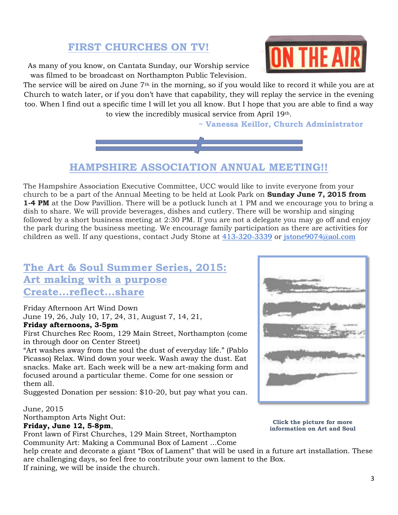## **FIRST CHURCHES ON TV!**

As many of you know, on Cantata Sunday, our Worship service was filmed to be broadcast on Northampton Public Television.

The service will be aired on June 7<sup>th</sup> in the morning, so if you would like to record it while you are at Church to watch later, or if you don't have that capability, they will replay the service in the evening too. When I find out a specific time I will let you all know. But I hope that you are able to find a way to view the incredibly musical service from April 19th.

**~ Vanessa Keillor, Church Administrator**



**HAMPSHIRE ASSOCIATION ANNUAL MEETING!!**

The Hampshire Association Executive Committee, UCC would like to invite everyone from your church to be a part of the Annual Meeting to be held at Look Park on **Sunday June 7, 2015 from 1-4 PM** at the Dow Pavillion. There will be a potluck lunch at 1 PM and we encourage you to bring a dish to share. We will provide beverages, dishes and cutlery. There will be worship and singing followed by a short business meeting at 2:30 PM. If you are not a delegate you may go off and enjoy the park during the business meeting. We encourage family participation as there are activities for children as well. If any questions, contact Judy Stone at [413-320-3339](tel:413-320-3339) or [jstone9074@aol.com](mailto:jstone9074@aol.com)

## **The Art & Soul Summer Series, 2015: Art making with a purpose Create...reflect...share**

Friday Afternoon Art Wind Down June 19, 26, July 10, 17, 24, 31, August 7, 14, 21, **Friday afternoons, 3-5pm** 

First Churches Rec Room, 129 Main Street, Northampton (come in through door on Center Street)

"Art washes away from the soul the dust of everyday life." (Pablo Picasso) Relax. Wind down your week. Wash away the dust. Eat snacks. Make art. Each week will be a new art-making form and focused around a particular theme. Come for one session or them all.

Suggested Donation per session: \$10-20, but pay what you can.

June, 2015 Northampton Arts Night Out: **Friday, June 12, 5-8pm**,

Front lawn of First Churches, 129 Main Street, Northampton Community Art: Making a Communal Box of Lament ...Come

**Click the picture for more information on Art and Soul**

help create and decorate a giant "Box of Lament" that will be used in a future art installation. These are challenging days, so feel free to contribute your own lament to the Box. If raining, we will be inside the church.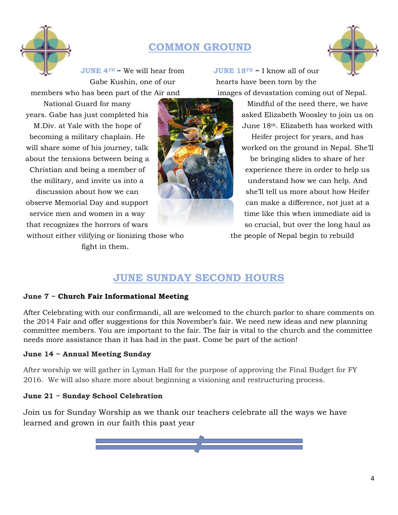

## **COMMON GROUND**



**JUNE 4TH ~** We will hear from Gabe Kushin, one of our members who has been part of the Air and

National Guard for many years. Gabe has just completed his

M.Div. at Yale with the hope of becoming a military chaplain. He will share some of his journey, talk about the tensions between being a Christian and being a member of the military, and invite us into a discussion about how we can observe Memorial Day and support service men and women in a way that recognizes the horrors of wars

without either vilifying or lionizing those who fight in them.



**JUNE 18TH ~** I know all of our hearts have been torn by the images of devastation coming out of Nepal.

> Mindful of the need there, we have asked Elizabeth Woosley to join us on June 18th. Elizabeth has worked with Heifer project for years, and has worked on the ground in Nepal. She'll be bringing slides to share of her experience there in order to help us understand how we can help. And she'll tell us more about how Heifer can make a difference, not just at a time like this when immediate aid is so crucial, but over the long haul as the people of Nepal begin to rebuild

## **JUNE SUNDAY SECOND HOURS**

#### **June 7 ~ Church Fair Informational Meeting**

After Celebrating with our confirmandi, all are welcomed to the church parlor to share comments on the 2014 Fair and offer suggestions for this November's fair. We need new ideas and new planning committee members. You are important to the fair. The fair is vital to the church and the committee needs more assistance than it has had in the past. Come be part of the action!

#### **June 14 ~ Annual Meeting Sunday**

After worship we will gather in Lyman Hall for the purpose of approving the Final Budget for FY 2016. We will also share more about beginning a visioning and restructuring process.

#### **June 21 ~ Sunday School Celebration**

Join us for Sunday Worship as we thank our teachers celebrate all the ways we have learned and grown in our faith this past year

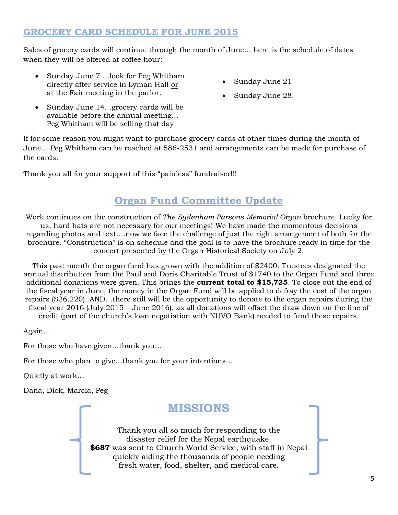#### **GROCERY CARD SCHEDULE FOR JUNE 2015**

Sales of grocery cards will continue through the month of June… here is the schedule of dates when they will be offered at coffee hour:

- Sunday June 7 …look for Peg Whitham directly after service in Lyman Hall or at the Fair meeting in the parlor.
- Sunday June 21
- Sunday June 28.
- Sunday June 14…grocery cards will be available before the annual meeting… Peg Whitham will be selling that day

If for some reason you might want to purchase grocery cards at other times during the month of June… Peg Whitham can be reached at 586-2531 and arrangements can be made for purchase of the cards.

Thank you all for your support of this "painless" fundraiser!!!

## **Organ Fund Committee Update**

Work continues on the construction of *The Sydenham Parsons Memorial Organ* brochure*.* Lucky for us, hard hats are not necessary for our meetings! We have made the momentous decisions regarding photos and text….now we face the challenge of just the right arrangement of both for the brochure. "Construction" is on schedule and the goal is to have the brochure ready in time for the concert presented by the Organ Historical Society on July 2.

This past month the organ fund has grown with the addition of \$2400: Trustees designated the annual distribution from the Paul and Doris Charitable Trust of \$1740 to the Organ Fund and three additional donations were given. This brings the **current total to \$15,725**. To close out the end of the fiscal year in June, the money in the Organ Fund will be applied to defray the cost of the organ repairs (\$26,220). AND…there still will be the opportunity to donate to the organ repairs during the fiscal year 2016 (July 2015 – June 2016), as all donations will offset the draw down on the line of credit (part of the church's loan negotiation with NUVO Bank) needed to fund these repairs.

Again…

For those who have given…thank you…

For those who plan to give…thank you for your intentions…

Quietly at work…

Dana, Dick, Marcia, Peg

## **MISSIONS**

Thank you all so much for responding to the disaster relief for the Nepal earthquake. **\$687** was sent to Church World Service, with staff in Nepal quickly aiding the thousands of people needing fresh water, food, shelter, and medical care.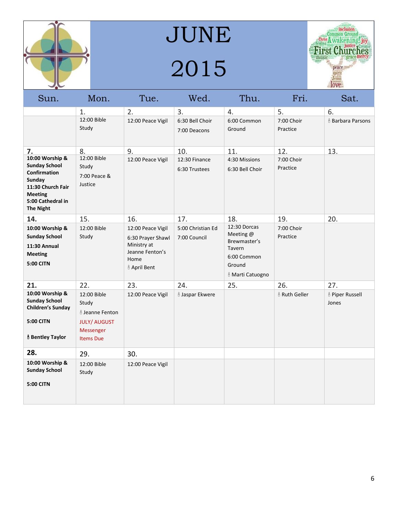

JUNE 2015



| Sun.                                                                                                                                              | Mon.                                                                                                       | Tue.                                                                                             | Wed.                              | Thu.                                                                                             | Fri.                   | Sat.                                |
|---------------------------------------------------------------------------------------------------------------------------------------------------|------------------------------------------------------------------------------------------------------------|--------------------------------------------------------------------------------------------------|-----------------------------------|--------------------------------------------------------------------------------------------------|------------------------|-------------------------------------|
|                                                                                                                                                   | 1.                                                                                                         | 2.                                                                                               | 3.                                | 4.                                                                                               | 5.                     | 6.                                  |
|                                                                                                                                                   | 12:00 Bible<br>Study                                                                                       | 12:00 Peace Vigil                                                                                | 6:30 Bell Choir<br>7:00 Deacons   | 6:00 Common<br>Ground                                                                            | 7:00 Choir<br>Practice | <b>&amp; Barbara Parsons</b>        |
| 7.                                                                                                                                                | 8.                                                                                                         | 9.                                                                                               | 10.                               | 11.                                                                                              | 12.                    | 13.                                 |
| 10:00 Worship &<br><b>Sunday School</b><br>Confirmation<br>Sunday<br>11:30 Church Fair<br><b>Meeting</b><br>5:00 Cathedral in<br><b>The Night</b> | 12:00 Bible<br>Study<br>7:00 Peace &<br>Justice                                                            | 12:00 Peace Vigil                                                                                | 12:30 Finance<br>6:30 Trustees    | 4:30 Missions<br>6:30 Bell Choir                                                                 | 7:00 Choir<br>Practice |                                     |
| 14.                                                                                                                                               | 15.                                                                                                        | 16.                                                                                              | 17.                               | 18.                                                                                              | 19.                    | 20.                                 |
| 10:00 Worship &<br><b>Sunday School</b><br>11:30 Annual<br><b>Meeting</b><br><b>5:00 CITN</b>                                                     | 12:00 Bible<br>Study                                                                                       | 12:00 Peace Vigil<br>6:30 Prayer Shawl<br>Ministry at<br>Jeanne Fenton's<br>Home<br>& April Bent | 5:00 Christian Ed<br>7:00 Council | 12:30 Dorcas<br>Meeting @<br>Brewmaster's<br>Tavern<br>6:00 Common<br>Ground<br>& Marti Catuogno | 7:00 Choir<br>Practice |                                     |
| 21.                                                                                                                                               | 22.                                                                                                        | 23.                                                                                              | 24.                               | 25.                                                                                              | 26.                    | 27.                                 |
| 10:00 Worship &<br><b>Sunday School</b><br><b>Children's Sunday</b><br><b>5:00 CITN</b><br><b>ô Bentley Taylor</b>                                | 12:00 Bible<br>Study<br><b>&amp; Jeanne Fenton</b><br><b>JULY/ AUGUST</b><br>Messenger<br><b>Items Due</b> | 12:00 Peace Vigil                                                                                | <b><i>å Jaspar Ekwere</i></b>     |                                                                                                  | & Ruth Geller          | <b>&amp; Piper Russell</b><br>Jones |
| 28.                                                                                                                                               | 29.                                                                                                        | 30.                                                                                              |                                   |                                                                                                  |                        |                                     |
| 10:00 Worship &<br><b>Sunday School</b><br><b>5:00 CITN</b>                                                                                       | 12:00 Bible<br>Study                                                                                       | 12:00 Peace Vigil                                                                                |                                   |                                                                                                  |                        |                                     |